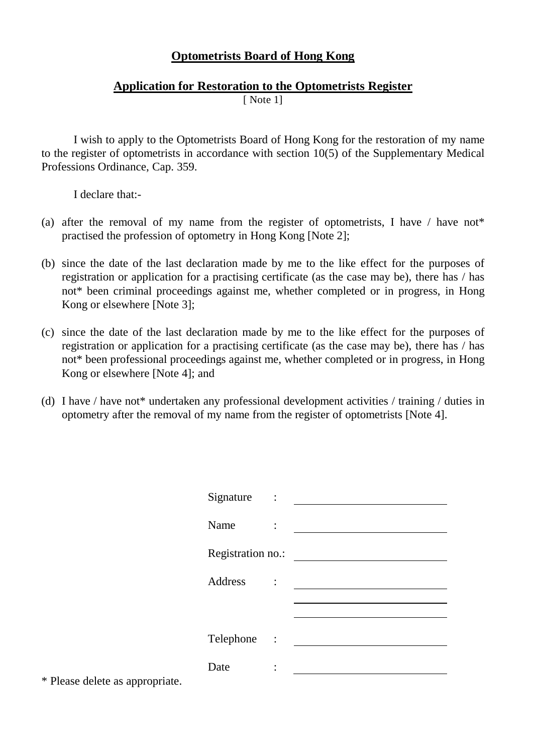## **Optometrists Board of Hong Kong**

## **Application for Restoration to the Optometrists Register**

[ Note 1]

I wish to apply to the Optometrists Board of Hong Kong for the restoration of my name to the register of optometrists in accordance with section 10(5) of the Supplementary Medical Professions Ordinance, Cap. 359.

I declare that:-

- (a) after the removal of my name from the register of optometrists, I have  $\ell$  have not<sup>\*</sup> practised the profession of optometry in Hong Kong [Note 2];
- (b) since the date of the last declaration made by me to the like effect for the purposes of registration or application for a practising certificate (as the case may be), there has / has not\* been criminal proceedings against me, whether completed or in progress, in Hong Kong or elsewhere [Note 3];
- (c) since the date of the last declaration made by me to the like effect for the purposes of registration or application for a practising certificate (as the case may be), there has / has not\* been professional proceedings against me, whether completed or in progress, in Hong Kong or elsewhere [Note 4]; and
- (d) I have / have not\* undertaken any professional development activities / training / duties in optometry after the removal of my name from the register of optometrists [Note 4].

| Signature         | $\sim$ :       |  |
|-------------------|----------------|--|
| Name              |                |  |
| Registration no.: |                |  |
| <b>Address</b>    | $\ddot{\cdot}$ |  |
|                   |                |  |
| Telephone :       |                |  |
| Date              |                |  |
|                   |                |  |

\* Please delete as appropriate.